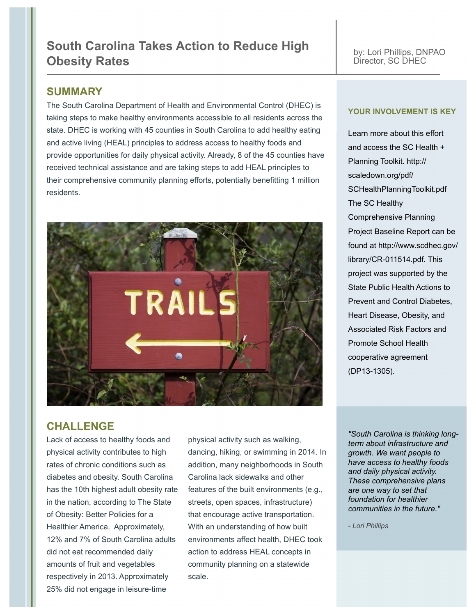# **South Carolina Takes Action to Reduce High Obesity Rates**

by: Lori Phillips, DNPAO Director, SC DHEC

#### **SUMMARY**

The South Carolina Department of Health and Environmental Control (DHEC) is taking steps to make healthy environments accessible to all residents across the state. DHEC is working with 45 counties in South Carolina to add healthy eating and active living (HEAL) principles to address access to healthy foods and provide opportunities for daily physical activity. Already, 8 of the 45 counties have received technical assistance and are taking steps to add HEAL principles to their comprehensive community planning efforts, potentially benefitting 1 million residents.



#### **YOUR INVOLVEMENT IS KEY**

Learn more about this effort and access the SC Health + Planning Toolkit. http:// scaledown.org/pdf/ SCHealthPlanningToolkit.pdf The SC Healthy Comprehensive Planning Project Baseline Report can be found at http://www.scdhec.gov/ library/CR-011514.pdf. This project was supported by the State Public Health Actions to Prevent and Control Diabetes, Heart Disease, Obesity, and Associated Risk Factors and Promote School Health cooperative agreement (DP13-1305).

## **CHALLENGE**

Lack of access to healthy foods and physical activity contributes to high rates of chronic conditions such as diabetes and obesity. South Carolina has the 10th highest adult obesity rate in the nation, according to The State of Obesity: Better Policies for a Healthier America. Approximately, 12% and 7% of South Carolina adults did not eat recommended daily amounts of fruit and vegetables respectively in 2013. Approximately 25% did not engage in leisure-time

physical activity such as walking, dancing, hiking, or swimming in 2014. In addition, many neighborhoods in South Carolina lack sidewalks and other features of the built environments (e.g., streets, open spaces, infrastructure) that encourage active transportation. With an understanding of how built environments affect health, DHEC took action to address HEAL concepts in community planning on a statewide scale.

*"South Carolina is thinking longterm about infrastructure and growth. We want people to have access to healthy foods and daily physical activity. These comprehensive plans are one way to set that foundation for healthier communities in the future."*

*- Lori Phillips*